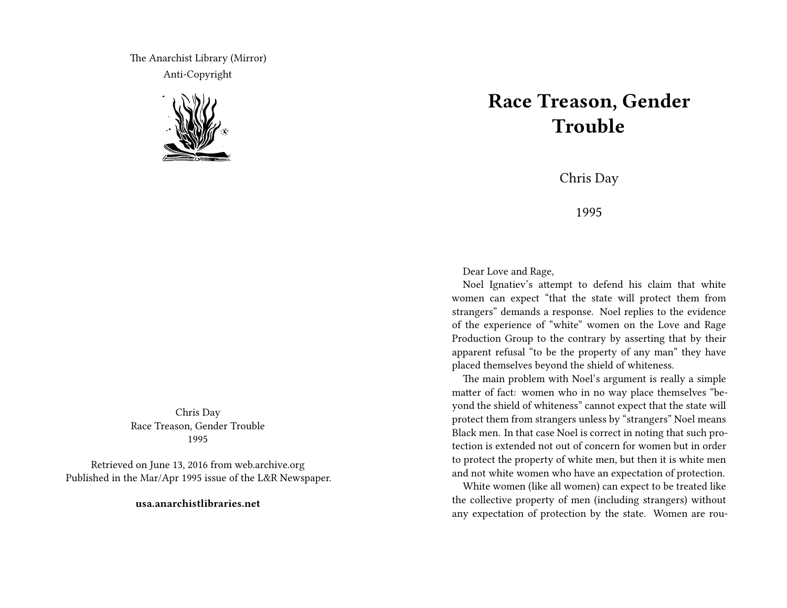The Anarchist Library (Mirror) Anti-Copyright



Chris Day Race Treason, Gender Trouble 1995

Retrieved on June 13, 2016 from web.archive.org Published in the Mar/Apr 1995 issue of the L&R Newspaper.

**usa.anarchistlibraries.net**

## **Race Treason, Gender Trouble**

Chris Day

1995

Dear Love and Rage,

Noel Ignatiev's attempt to defend his claim that white women can expect "that the state will protect them from strangers" demands a response. Noel replies to the evidence of the experience of "white" women on the Love and Rage Production Group to the contrary by asserting that by their apparent refusal "to be the property of any man" they have placed themselves beyond the shield of whiteness.

The main problem with Noel's argument is really a simple matter of fact: women who in no way place themselves "beyond the shield of whiteness" cannot expect that the state will protect them from strangers unless by "strangers" Noel means Black men. In that case Noel is correct in noting that such protection is extended not out of concern for women but in order to protect the property of white men, but then it is white men and not white women who have an expectation of protection.

White women (like all women) can expect to be treated like the collective property of men (including strangers) without any expectation of protection by the state. Women are rou